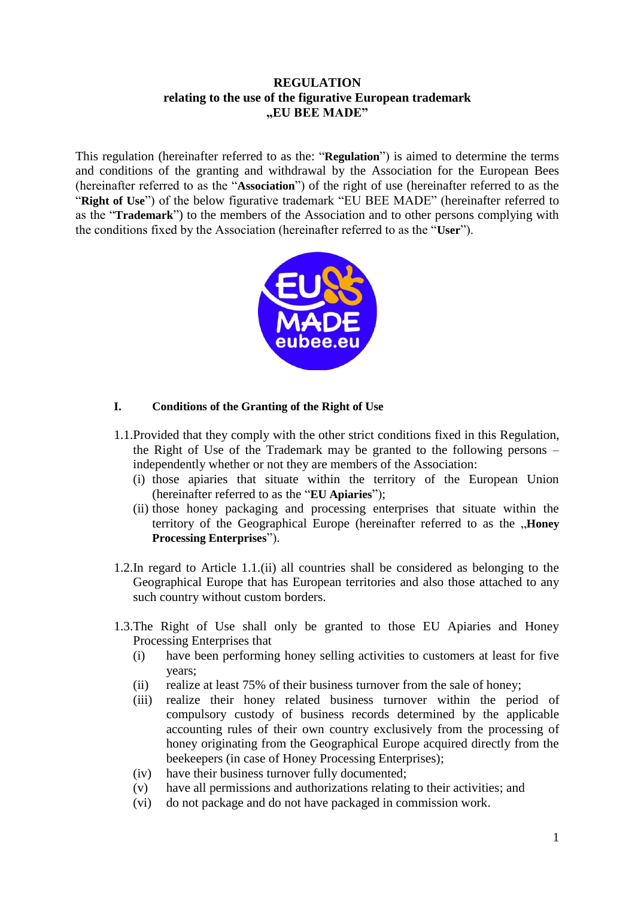## **REGULATION relating to the use of the figurative European trademark "EU BEE MADE"**

This regulation (hereinafter referred to as the: "**Regulation**") is aimed to determine the terms and conditions of the granting and withdrawal by the Association for the European Bees (hereinafter referred to as the "**Association**") of the right of use (hereinafter referred to as the "**Right of Use**") of the below figurative trademark "EU BEE MADE" (hereinafter referred to as the "**Trademark**") to the members of the Association and to other persons complying with the conditions fixed by the Association (hereinafter referred to as the "**User**").



## **I. Conditions of the Granting of the Right of Use**

- 1.1.Provided that they comply with the other strict conditions fixed in this Regulation, the Right of Use of the Trademark may be granted to the following persons – independently whether or not they are members of the Association:
	- (i) those apiaries that situate within the territory of the European Union (hereinafter referred to as the "**EU Apiaries**");
	- (ii) those honey packaging and processing enterprises that situate within the territory of the Geographical Europe (hereinafter referred to as the **"Honey Processing Enterprises**").
- 1.2.In regard to Article 1.1.(ii) all countries shall be considered as belonging to the Geographical Europe that has European territories and also those attached to any such country without custom borders.
- 1.3.The Right of Use shall only be granted to those EU Apiaries and Honey Processing Enterprises that
	- (i) have been performing honey selling activities to customers at least for five years;
	- (ii) realize at least 75% of their business turnover from the sale of honey;
	- (iii) realize their honey related business turnover within the period of compulsory custody of business records determined by the applicable accounting rules of their own country exclusively from the processing of honey originating from the Geographical Europe acquired directly from the beekeepers (in case of Honey Processing Enterprises);
	- (iv) have their business turnover fully documented;
	- (v) have all permissions and authorizations relating to their activities; and
	- (vi) do not package and do not have packaged in commission work.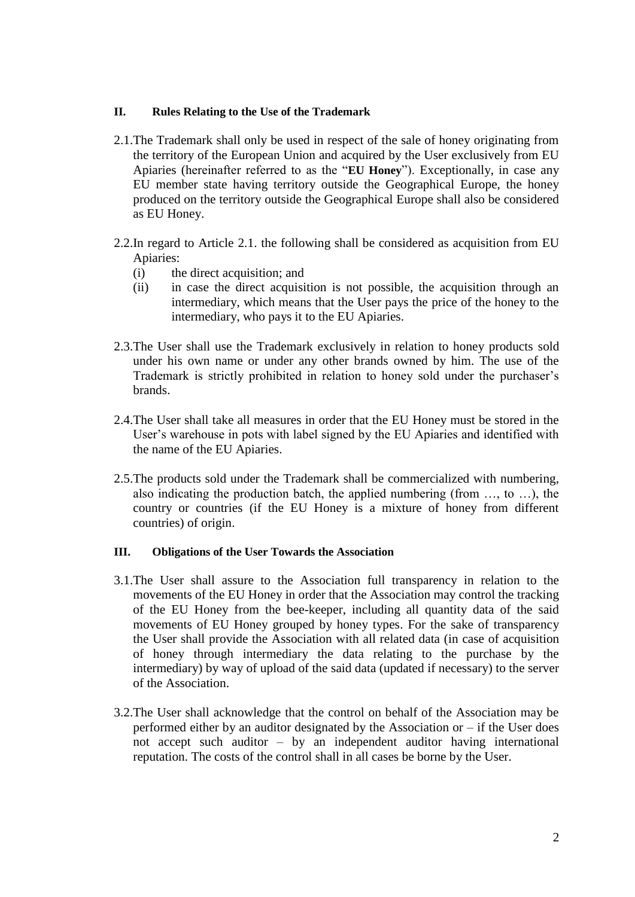#### **II. Rules Relating to the Use of the Trademark**

- 2.1.The Trademark shall only be used in respect of the sale of honey originating from the territory of the European Union and acquired by the User exclusively from EU Apiaries (hereinafter referred to as the "**EU Honey**"). Exceptionally, in case any EU member state having territory outside the Geographical Europe, the honey produced on the territory outside the Geographical Europe shall also be considered as EU Honey.
- 2.2.In regard to Article 2.1. the following shall be considered as acquisition from EU Apiaries:
	- (i) the direct acquisition; and
	- (ii) in case the direct acquisition is not possible, the acquisition through an intermediary, which means that the User pays the price of the honey to the intermediary, who pays it to the EU Apiaries.
- 2.3.The User shall use the Trademark exclusively in relation to honey products sold under his own name or under any other brands owned by him. The use of the Trademark is strictly prohibited in relation to honey sold under the purchaser's brands.
- 2.4.The User shall take all measures in order that the EU Honey must be stored in the User's warehouse in pots with label signed by the EU Apiaries and identified with the name of the EU Apiaries.
- 2.5.The products sold under the Trademark shall be commercialized with numbering, also indicating the production batch, the applied numbering (from …, to …), the country or countries (if the EU Honey is a mixture of honey from different countries) of origin.

### **III. Obligations of the User Towards the Association**

- 3.1.The User shall assure to the Association full transparency in relation to the movements of the EU Honey in order that the Association may control the tracking of the EU Honey from the bee-keeper, including all quantity data of the said movements of EU Honey grouped by honey types. For the sake of transparency the User shall provide the Association with all related data (in case of acquisition of honey through intermediary the data relating to the purchase by the intermediary) by way of upload of the said data (updated if necessary) to the server of the Association.
- 3.2.The User shall acknowledge that the control on behalf of the Association may be performed either by an auditor designated by the Association or – if the User does not accept such auditor – by an independent auditor having international reputation. The costs of the control shall in all cases be borne by the User.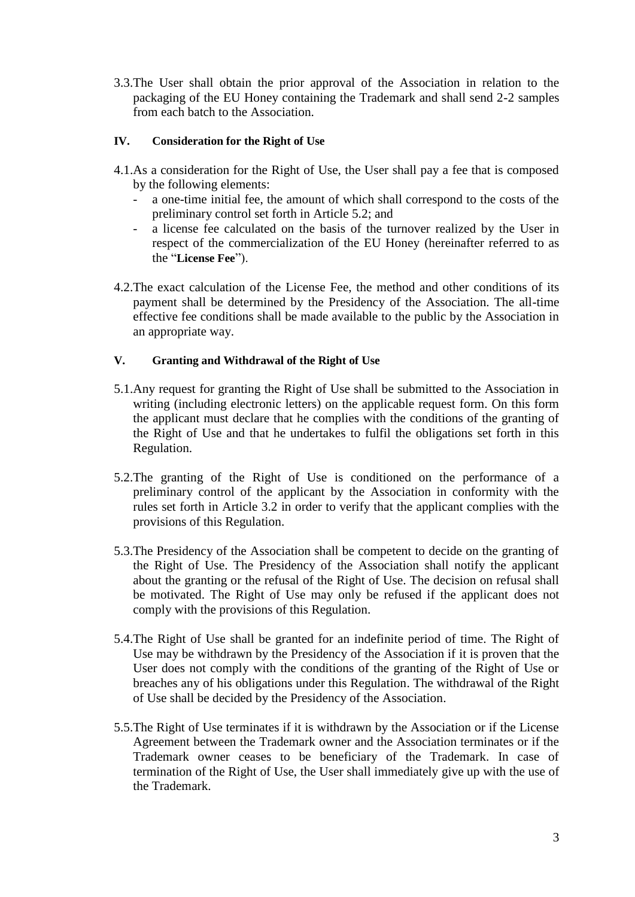3.3.The User shall obtain the prior approval of the Association in relation to the packaging of the EU Honey containing the Trademark and shall send 2-2 samples from each batch to the Association.

## **IV. Consideration for the Right of Use**

- 4.1.As a consideration for the Right of Use, the User shall pay a fee that is composed by the following elements:
	- a one-time initial fee, the amount of which shall correspond to the costs of the preliminary control set forth in Article 5.2; and
	- a license fee calculated on the basis of the turnover realized by the User in respect of the commercialization of the EU Honey (hereinafter referred to as the "**License Fee**").
- 4.2.The exact calculation of the License Fee, the method and other conditions of its payment shall be determined by the Presidency of the Association. The all-time effective fee conditions shall be made available to the public by the Association in an appropriate way.

## **V. Granting and Withdrawal of the Right of Use**

- 5.1.Any request for granting the Right of Use shall be submitted to the Association in writing (including electronic letters) on the applicable request form. On this form the applicant must declare that he complies with the conditions of the granting of the Right of Use and that he undertakes to fulfil the obligations set forth in this Regulation.
- 5.2.The granting of the Right of Use is conditioned on the performance of a preliminary control of the applicant by the Association in conformity with the rules set forth in Article 3.2 in order to verify that the applicant complies with the provisions of this Regulation.
- 5.3.The Presidency of the Association shall be competent to decide on the granting of the Right of Use. The Presidency of the Association shall notify the applicant about the granting or the refusal of the Right of Use. The decision on refusal shall be motivated. The Right of Use may only be refused if the applicant does not comply with the provisions of this Regulation.
- 5.4.The Right of Use shall be granted for an indefinite period of time. The Right of Use may be withdrawn by the Presidency of the Association if it is proven that the User does not comply with the conditions of the granting of the Right of Use or breaches any of his obligations under this Regulation. The withdrawal of the Right of Use shall be decided by the Presidency of the Association.
- 5.5.The Right of Use terminates if it is withdrawn by the Association or if the License Agreement between the Trademark owner and the Association terminates or if the Trademark owner ceases to be beneficiary of the Trademark. In case of termination of the Right of Use, the User shall immediately give up with the use of the Trademark.